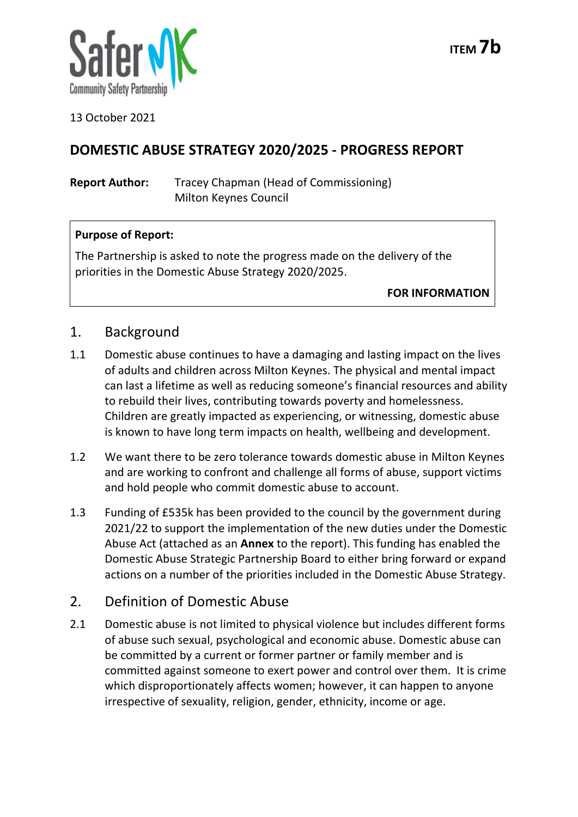

13 October 2021

# **DOMESTIC ABUSE STRATEGY 2020/2025 - PROGRESS REPORT**

**Report Author:** Tracey Chapman (Head of Commissioning) Milton Keynes Council

## **Purpose of Report:**

The Partnership is asked to note the progress made on the delivery of the priorities in the Domestic Abuse Strategy 2020/2025.

**FOR INFORMATION**

## 1. Background

- 1.1 Domestic abuse continues to have a damaging and lasting impact on the lives of adults and children across Milton Keynes. The physical and mental impact can last a lifetime as well as reducing someone's financial resources and ability to rebuild their lives, contributing towards poverty and homelessness. Children are greatly impacted as experiencing, or witnessing, domestic abuse is known to have long term impacts on health, wellbeing and development.
- 1.2 We want there to be zero tolerance towards domestic abuse in Milton Keynes and are working to confront and challenge all forms of abuse, support victims and hold people who commit domestic abuse to account.
- 1.3 Funding of £535k has been provided to the council by the government during 2021/22 to support the implementation of the new duties under the Domestic Abuse Act (attached as an **Annex** to the report). This funding has enabled the Domestic Abuse Strategic Partnership Board to either bring forward or expand actions on a number of the priorities included in the Domestic Abuse Strategy.

## 2. Definition of Domestic Abuse

2.1 Domestic abuse is not limited to physical violence but includes different forms of abuse such sexual, psychological and economic abuse. Domestic abuse can be committed by a current or former partner or family member and is committed against someone to exert power and control over them. It is crime which disproportionately affects women; however, it can happen to anyone irrespective of sexuality, religion, gender, ethnicity, income or age.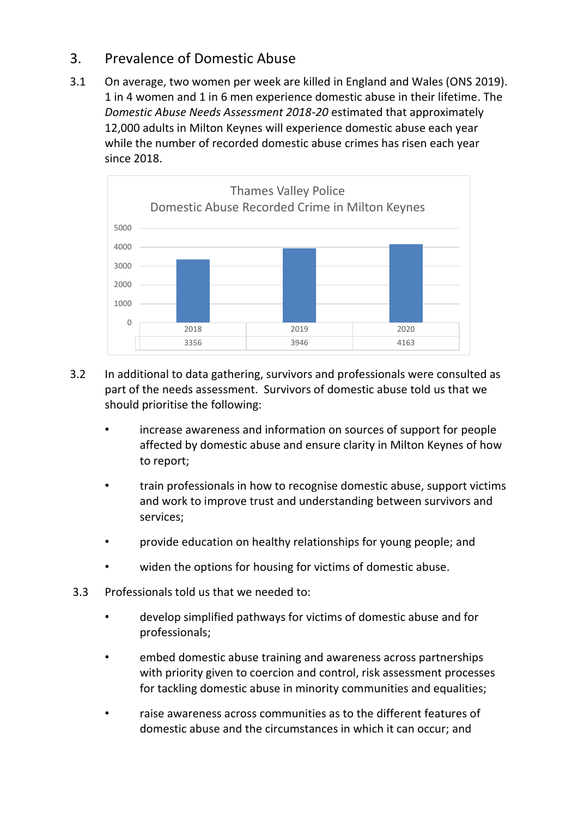## 3. Prevalence of Domestic Abuse

3.1 On average, two women per week are killed in England and Wales (ONS 2019). 1 in 4 women and 1 in 6 men experience domestic abuse in their lifetime. The *Domestic Abuse Needs Assessment 2018-20* estimated that approximately 12,000 adults in Milton Keynes will experience domestic abuse each year while the number of recorded domestic abuse crimes has risen each year since 2018.



- 3.2 In additional to data gathering, survivors and professionals were consulted as part of the needs assessment. Survivors of domestic abuse told us that we should prioritise the following:
	- increase awareness and information on sources of support for people affected by domestic abuse and ensure clarity in Milton Keynes of how to report;
	- train professionals in how to recognise domestic abuse, support victims and work to improve trust and understanding between survivors and services;
	- provide education on healthy relationships for young people; and
	- widen the options for housing for victims of domestic abuse.
- 3.3 Professionals told us that we needed to:
	- develop simplified pathways for victims of domestic abuse and for professionals;
	- embed domestic abuse training and awareness across partnerships with priority given to coercion and control, risk assessment processes for tackling domestic abuse in minority communities and equalities;
	- raise awareness across communities as to the different features of domestic abuse and the circumstances in which it can occur; and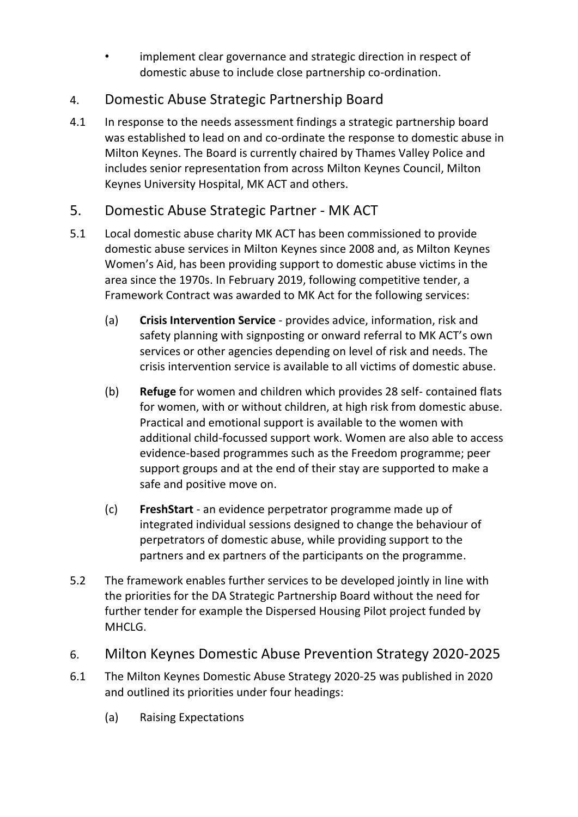implement clear governance and strategic direction in respect of domestic abuse to include close partnership co-ordination.

# 4. Domestic Abuse Strategic Partnership Board

4.1 In response to the needs assessment findings a strategic partnership board was established to lead on and co-ordinate the response to domestic abuse in Milton Keynes. The Board is currently chaired by Thames Valley Police and includes senior representation from across Milton Keynes Council, Milton Keynes University Hospital, MK ACT and others.

# 5. Domestic Abuse Strategic Partner - MK ACT

- 5.1 Local domestic abuse charity MK ACT has been commissioned to provide domestic abuse services in Milton Keynes since 2008 and, as Milton Keynes Women's Aid, has been providing support to domestic abuse victims in the area since the 1970s. In February 2019, following competitive tender, a Framework Contract was awarded to MK Act for the following services:
	- (a) **Crisis Intervention Service** provides advice, information, risk and safety planning with signposting or onward referral to MK ACT's own services or other agencies depending on level of risk and needs. The crisis intervention service is available to all victims of domestic abuse.
	- (b) **Refuge** for women and children which provides 28 self- contained flats for women, with or without children, at high risk from domestic abuse. Practical and emotional support is available to the women with additional child-focussed support work. Women are also able to access evidence-based programmes such as the Freedom programme; peer support groups and at the end of their stay are supported to make a safe and positive move on.
	- (c) **FreshStart** an evidence perpetrator programme made up of integrated individual sessions designed to change the behaviour of perpetrators of domestic abuse, while providing support to the partners and ex partners of the participants on the programme.
- 5.2 The framework enables further services to be developed jointly in line with the priorities for the DA Strategic Partnership Board without the need for further tender for example the Dispersed Housing Pilot project funded by MHCLG.

## 6. Milton Keynes Domestic Abuse Prevention Strategy 2020-2025

- 6.1 The Milton Keynes Domestic Abuse Strategy 2020-25 was published in 2020 and outlined its priorities under four headings:
	- (a) Raising Expectations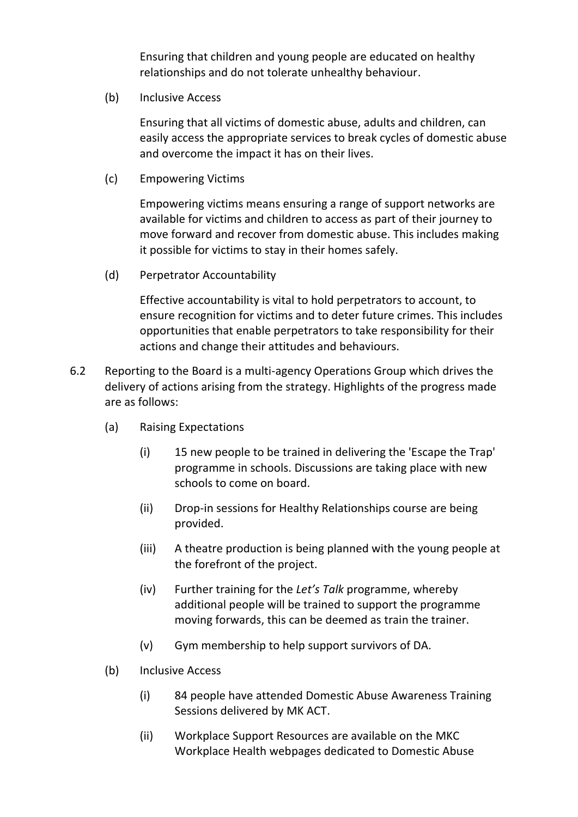Ensuring that children and young people are educated on healthy relationships and do not tolerate unhealthy behaviour.

(b) Inclusive Access

Ensuring that all victims of domestic abuse, adults and children, can easily access the appropriate services to break cycles of domestic abuse and overcome the impact it has on their lives.

(c) Empowering Victims

Empowering victims means ensuring a range of support networks are available for victims and children to access as part of their journey to move forward and recover from domestic abuse. This includes making it possible for victims to stay in their homes safely.

(d) Perpetrator Accountability

Effective accountability is vital to hold perpetrators to account, to ensure recognition for victims and to deter future crimes. This includes opportunities that enable perpetrators to take responsibility for their actions and change their attitudes and behaviours.

- 6.2 Reporting to the Board is a multi-agency Operations Group which drives the delivery of actions arising from the strategy. Highlights of the progress made are as follows:
	- (a) Raising Expectations
		- (i) 15 new people to be trained in delivering the 'Escape the Trap' programme in schools. Discussions are taking place with new schools to come on board.
		- (ii) Drop-in sessions for Healthy Relationships course are being provided.
		- (iii) A theatre production is being planned with the young people at the forefront of the project.
		- (iv) Further training for the *Let's Talk* programme, whereby additional people will be trained to support the programme moving forwards, this can be deemed as train the trainer.
		- (v) Gym membership to help support survivors of DA.
	- (b) Inclusive Access
		- (i) 84 people have attended Domestic Abuse Awareness Training Sessions delivered by MK ACT.
		- (ii) Workplace Support Resources are available on the MKC Workplace Health webpages dedicated to Domestic Abuse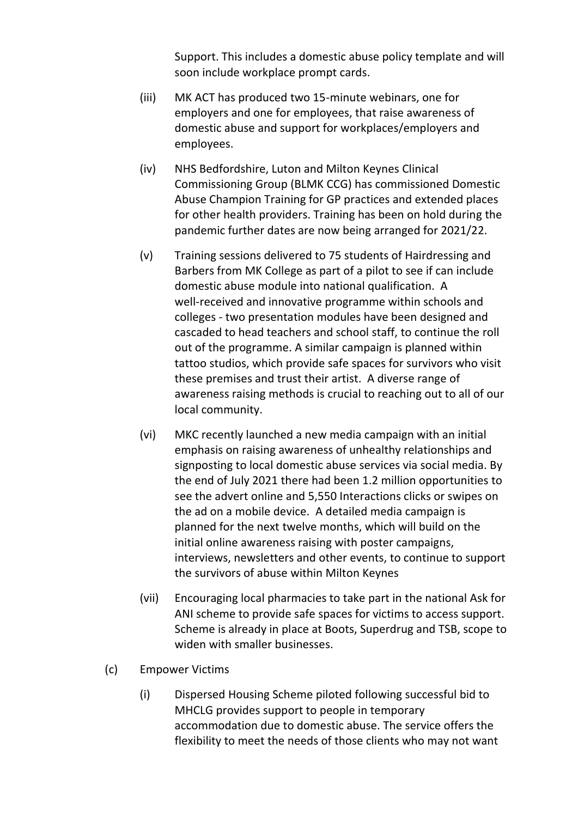Support. This includes a domestic abuse policy template and will soon include workplace prompt cards.

- (iii) MK ACT has produced two 15-minute webinars, one for employers and one for employees, that raise awareness of domestic abuse and support for workplaces/employers and employees.
- (iv) NHS Bedfordshire, Luton and Milton Keynes Clinical Commissioning Group (BLMK CCG) has commissioned Domestic Abuse Champion Training for GP practices and extended places for other health providers. Training has been on hold during the pandemic further dates are now being arranged for 2021/22.
- (v) Training sessions delivered to 75 students of Hairdressing and Barbers from MK College as part of a pilot to see if can include domestic abuse module into national qualification. A well-received and innovative programme within schools and colleges - two presentation modules have been designed and cascaded to head teachers and school staff, to continue the roll out of the programme. A similar campaign is planned within tattoo studios, which provide safe spaces for survivors who visit these premises and trust their artist. A diverse range of awareness raising methods is crucial to reaching out to all of our local community.
- (vi) MKC recently launched a new media campaign with an initial emphasis on raising awareness of unhealthy relationships and signposting to local domestic abuse services via social media. By the end of July 2021 there had been 1.2 million opportunities to see the advert online and 5,550 Interactions clicks or swipes on the ad on a mobile device. A detailed media campaign is planned for the next twelve months, which will build on the initial online awareness raising with poster campaigns, interviews, newsletters and other events, to continue to support the survivors of abuse within Milton Keynes
- (vii) Encouraging local pharmacies to take part in the national Ask for ANI scheme to provide safe spaces for victims to access support. Scheme is already in place at Boots, Superdrug and TSB, scope to widen with smaller businesses.
- (c) Empower Victims
	- (i) Dispersed Housing Scheme piloted following successful bid to MHCLG provides support to people in temporary accommodation due to domestic abuse. The service offers the flexibility to meet the needs of those clients who may not want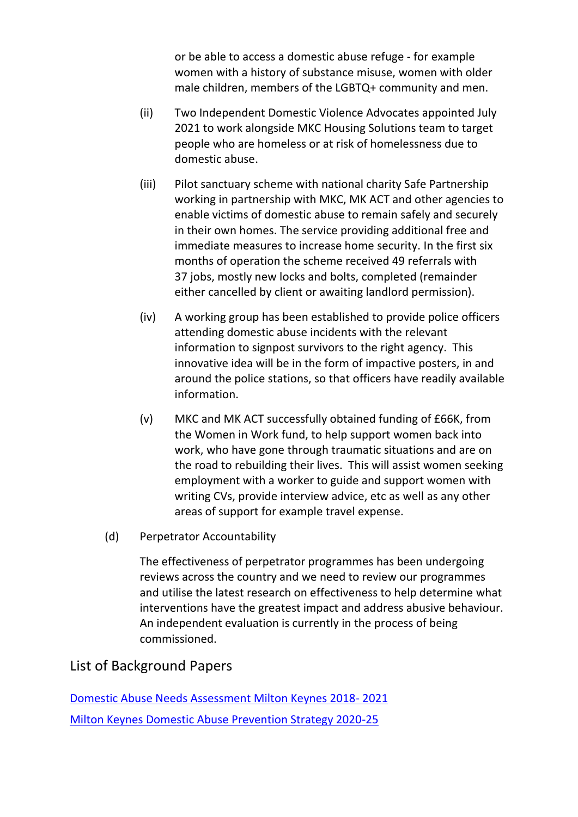or be able to access a domestic abuse refuge - for example women with a history of substance misuse, women with older male children, members of the LGBTQ+ community and men.

- (ii) Two Independent Domestic Violence Advocates appointed July 2021 to work alongside MKC Housing Solutions team to target people who are homeless or at risk of homelessness due to domestic abuse.
- (iii) Pilot sanctuary scheme with national charity Safe Partnership working in partnership with MKC, MK ACT and other agencies to enable victims of domestic abuse to remain safely and securely in their own homes. The service providing additional free and immediate measures to increase home security. In the first six months of operation the scheme received 49 referrals with 37 jobs, mostly new locks and bolts, completed (remainder either cancelled by client or awaiting landlord permission).
- (iv) A working group has been established to provide police officers attending domestic abuse incidents with the relevant information to signpost survivors to the right agency. This innovative idea will be in the form of impactive posters, in and around the police stations, so that officers have readily available information.
- (v) MKC and MK ACT successfully obtained funding of £66K, from the Women in Work fund, to help support women back into work, who have gone through traumatic situations and are on the road to rebuilding their lives. This will assist women seeking employment with a worker to guide and support women with writing CVs, provide interview advice, etc as well as any other areas of support for example travel expense.
- (d) Perpetrator Accountability

The effectiveness of perpetrator programmes has been undergoing reviews across the country and we need to review our programmes and utilise the latest research on effectiveness to help determine what interventions have the greatest impact and address abusive behaviour. An independent evaluation is currently in the process of being commissioned.

## List of Background Papers

[Domestic Abuse Needs Assessment Milton Keynes 2018-](https://milton-keynes.cmis.uk.com/milton-keynes/Document.ashx?czJKcaeAi5tUFL1DTL2UE4zNRBcoShgo=DCJdMpl%2bxUmAC5QFTECFuzhpV8ek6y8GItz09KJ8wagGTDtFgcXsfg%3d%3d&rUzwRPf%2bZ3zd4E7Ikn8Lyw%3d%3d=pwRE6AGJFLDNlh225F5QMaQWCtPHwdhUfCZ%2fLUQzgA2uL5jNRG4jdQ%3d%3d&mCTIbCubSFfXsDGW9IXnlg%3d%3d=hFflUdN3100%3d&kCx1AnS9%2fpWZQ40DXFvdEw%3d%3d=hFflUdN3100%3d&uJovDxwdjMPoYv%2bAJvYtyA%3d%3d=ctNJFf55vVA%3d&FgPlIEJYlotS%2bYGoBi5olA%3d%3d=NHdURQburHA%3d&d9Qjj0ag1Pd993jsyOJqFvmyB7X0CSQK=ctNJFf55vVA%3d&WGewmoAfeNR9xqBux0r1Q8Za60lavYmz=ctNJFf55vVA%3d&WGewmoAfeNQ16B2MHuCpMRKZMwaG1PaO=ctNJFf55vVA%3d) 2021 [Milton Keynes Domestic Abuse Prevention Strategy 2020-25](https://www.mktogether.co.uk/wp-content/uploads/2020/11/Domestic-Abuse-Strategy-2020-25-Version-1.0.pdf)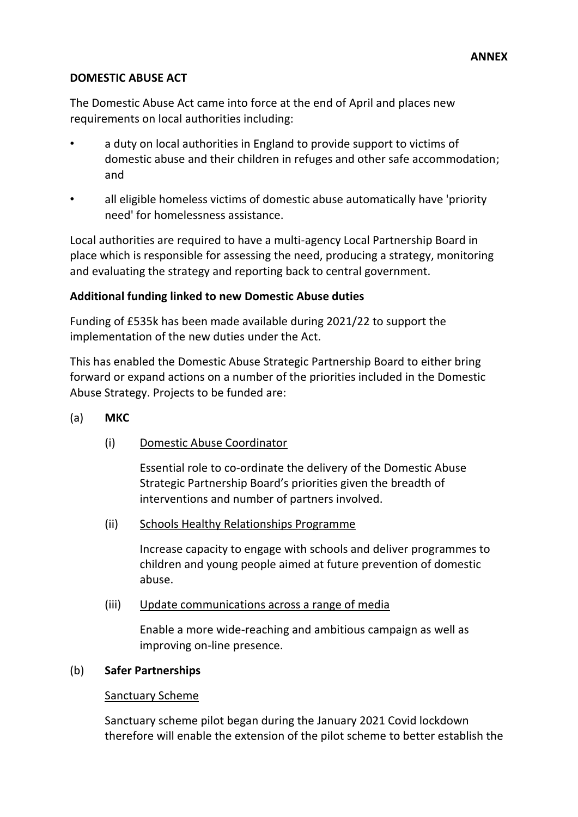#### **DOMESTIC ABUSE ACT**

The Domestic Abuse Act came into force at the end of April and places new requirements on local authorities including:

- a duty on local authorities in England to provide support to victims of domestic abuse and their children in refuges and other safe accommodation; and
- all eligible homeless victims of domestic abuse automatically have 'priority need' for homelessness assistance.

Local authorities are required to have a multi-agency Local Partnership Board in place which is responsible for assessing the need, producing a strategy, monitoring and evaluating the strategy and reporting back to central government.

### **Additional funding linked to new Domestic Abuse duties**

Funding of £535k has been made available during 2021/22 to support the implementation of the new duties under the Act.

This has enabled the Domestic Abuse Strategic Partnership Board to either bring forward or expand actions on a number of the priorities included in the Domestic Abuse Strategy. Projects to be funded are:

- (a) **MKC**
	- (i) Domestic Abuse Coordinator

Essential role to co-ordinate the delivery of the Domestic Abuse Strategic Partnership Board's priorities given the breadth of interventions and number of partners involved.

(ii) Schools Healthy Relationships Programme

Increase capacity to engage with schools and deliver programmes to children and young people aimed at future prevention of domestic abuse.

(iii) Update communications across a range of media

Enable a more wide-reaching and ambitious campaign as well as improving on-line presence.

#### (b) **Safer Partnerships**

#### Sanctuary Scheme

Sanctuary scheme pilot began during the January 2021 Covid lockdown therefore will enable the extension of the pilot scheme to better establish the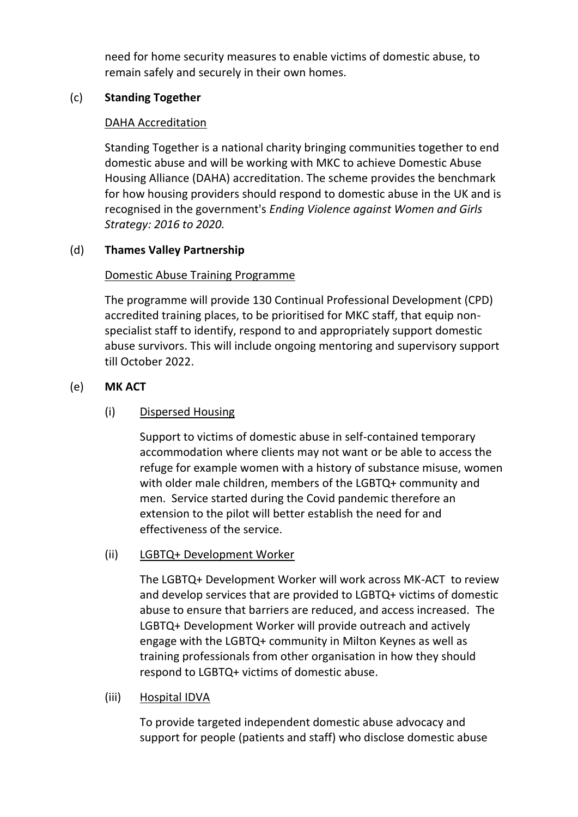need for home security measures to enable victims of domestic abuse, to remain safely and securely in their own homes.

## (c) **Standing Together**

## DAHA Accreditation

Standing Together is a national charity bringing communities together to end domestic abuse and will be working with MKC to achieve Domestic Abuse Housing Alliance (DAHA) accreditation. The scheme provides the benchmark for how housing providers should respond to domestic abuse in the UK and is recognised in the government's*Ending Violence against Women and Girls Strategy: 2016 to 2020.*

## (d) **Thames Valley Partnership**

## Domestic Abuse Training Programme

The programme will provide 130 Continual Professional Development (CPD) accredited training places, to be prioritised for MKC staff, that equip nonspecialist staff to identify, respond to and appropriately support domestic abuse survivors. This will include ongoing mentoring and supervisory support till October 2022.

## (e) **MK ACT**

## (i) Dispersed Housing

Support to victims of domestic abuse in self-contained temporary accommodation where clients may not want or be able to access the refuge for example women with a history of substance misuse, women with older male children, members of the LGBTQ+ community and men. Service started during the Covid pandemic therefore an extension to the pilot will better establish the need for and effectiveness of the service.

## (ii) LGBTQ+ Development Worker

The LGBTQ+ Development Worker will work across MK-ACT to review and develop services that are provided to LGBTQ+ victims of domestic abuse to ensure that barriers are reduced, and access increased. The LGBTQ+ Development Worker will provide outreach and actively engage with the LGBTQ+ community in Milton Keynes as well as training professionals from other organisation in how they should respond to LGBTQ+ victims of domestic abuse.

#### (iii) Hospital IDVA

To provide targeted independent domestic abuse advocacy and support for people (patients and staff) who disclose domestic abuse